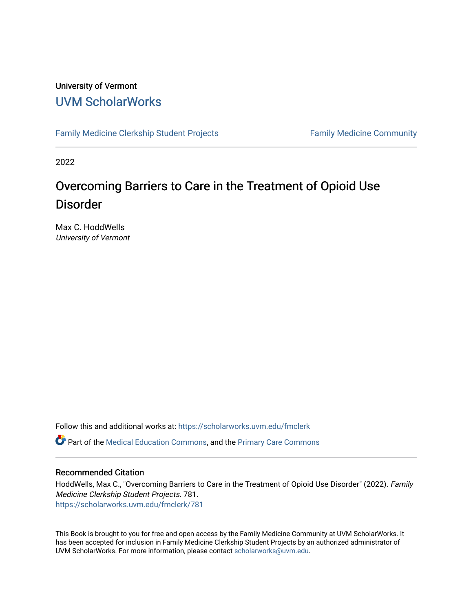#### University of Vermont [UVM ScholarWorks](https://scholarworks.uvm.edu/)

[Family Medicine Clerkship Student Projects](https://scholarworks.uvm.edu/fmclerk) Family Medicine Community

2022

### Overcoming Barriers to Care in the Treatment of Opioid Use Disorder

Max C. HoddWells University of Vermont

Follow this and additional works at: [https://scholarworks.uvm.edu/fmclerk](https://scholarworks.uvm.edu/fmclerk?utm_source=scholarworks.uvm.edu%2Ffmclerk%2F781&utm_medium=PDF&utm_campaign=PDFCoverPages) 

Part of the [Medical Education Commons,](https://network.bepress.com/hgg/discipline/1125?utm_source=scholarworks.uvm.edu%2Ffmclerk%2F781&utm_medium=PDF&utm_campaign=PDFCoverPages) and the [Primary Care Commons](https://network.bepress.com/hgg/discipline/1092?utm_source=scholarworks.uvm.edu%2Ffmclerk%2F781&utm_medium=PDF&utm_campaign=PDFCoverPages) 

#### Recommended Citation

HoddWells, Max C., "Overcoming Barriers to Care in the Treatment of Opioid Use Disorder" (2022). Family Medicine Clerkship Student Projects. 781. [https://scholarworks.uvm.edu/fmclerk/781](https://scholarworks.uvm.edu/fmclerk/781?utm_source=scholarworks.uvm.edu%2Ffmclerk%2F781&utm_medium=PDF&utm_campaign=PDFCoverPages) 

This Book is brought to you for free and open access by the Family Medicine Community at UVM ScholarWorks. It has been accepted for inclusion in Family Medicine Clerkship Student Projects by an authorized administrator of UVM ScholarWorks. For more information, please contact [scholarworks@uvm.edu.](mailto:scholarworks@uvm.edu)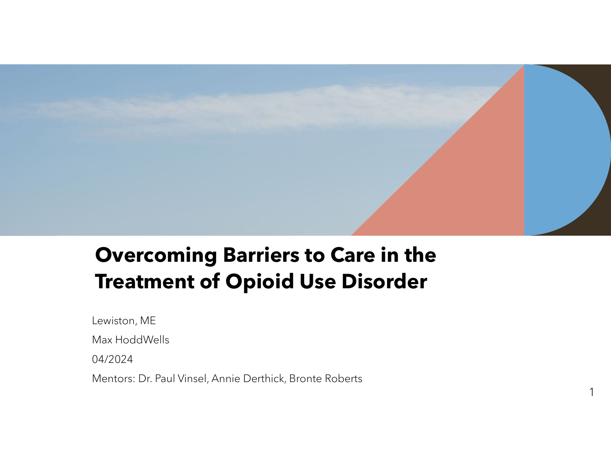

1

1

# Overcoming Barriers to Care in the Treatment of Opioid Use Disorder

Lewiston, ME

Max HoddWells

04/2024

Mentors: Dr. Paul Vinsel, Annie Derthick, Bronte Roberts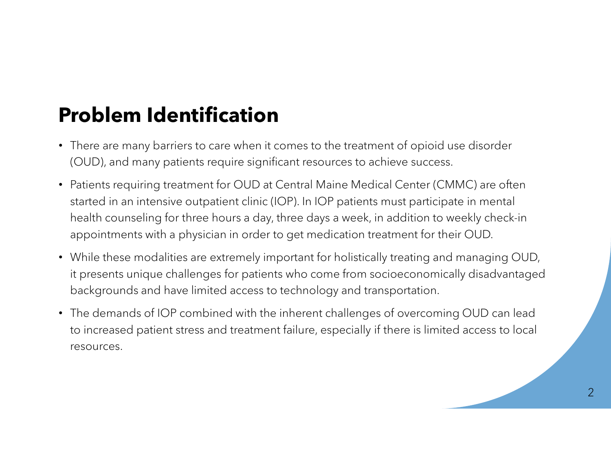# Problem Identification

- **Problem Identification**<br>• There are many barriers to care when it comes to the treatment of opioid use disorder<br>• (OUD), and many patients require significant resources to achieve success.<br>• Patients requiring treatment f (OUD), and many patients require significant resources to achieve success.
- Patients requiring treatment for OUD at Central Maine Medical Center (CMMC) are often started in an intensive outpatient clinic (IOP). In IOP patients must participate in mental health counseling for three hours a day, three days a week, in addition to weekly check-in appointments with a physician in order to get medication treatment for their OUD.
- While these modalities are extremely important for holistically treating and managing OUD, it presents unique challenges for patients who come from socioeconomically disadvantaged backgrounds and have limited access to technology and transportation.
- The demands of IOP combined with the inherent challenges of overcoming OUD can lead to increased patient stress and treatment failure, especially if there is limited access to local resources.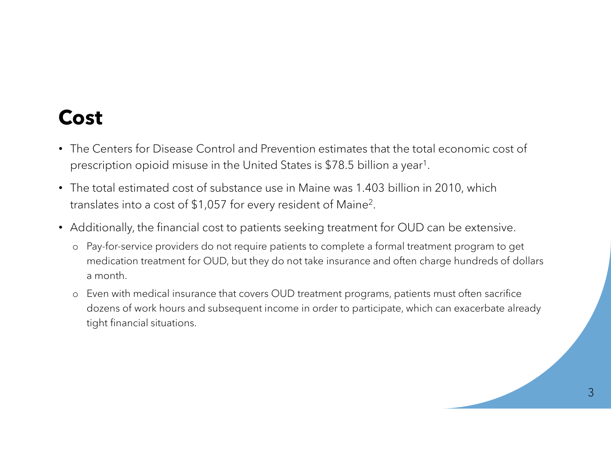### Cost

- The Centers for Disease Control and Prevention estimates that the total economic cost of prescription opioid misuse in the United States is \$78.5 billion a year1 .
- The total estimated cost of substance use in Maine was 1.403 billion in 2010, which translates into a cost of \$1,057 for every resident of Maine2 .
- Additionally, the financial cost to patients seeking treatment for OUD can be extensive.
	- o Pay-for-service providers do not require patients to complete a formal treatment program to get medication treatment for OUD, but they do not take insurance and often charge hundreds of dollars a month.
	- o Even with medical insurance that covers OUD treatment programs, patients must often sacrifice dozens of work hours and subsequent income in order to participate, which can exacerbate already tight financial situations.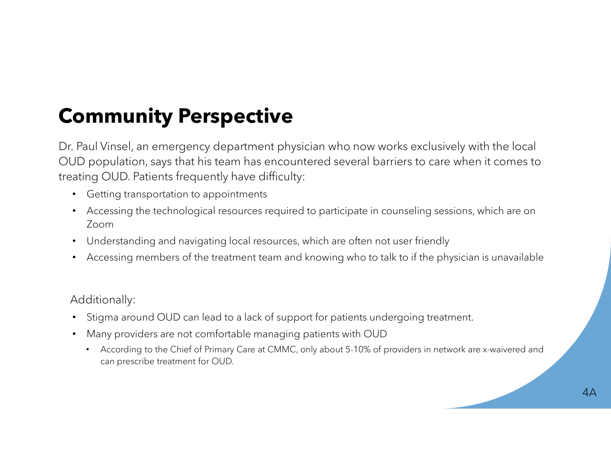# Community Perspective

Dr. Paul Vinsel, an emergency department physician who now works exclusively with the local OUD population, says that his team has encountered several barriers to care when it comes to treating OUD. Patients frequently have difficulty:

- Getting transportation to appointments
- Accessing the technological resources required to participate in counseling sessions, which are on Zoom
- Understanding and navigating local resources, which are often not user friendly
- Accessing members of the treatment team and knowing who to talk to if the physician is unavailable

#### Additionally:

- Stigma around OUD can lead to a lack of support for patients undergoing treatment.
- Many providers are not comfortable managing patients with OUD
	- According to the Chief of Primary Care at CMMC, only about 5-10% of providers in network are x-waivered and can prescribe treatment for OUD.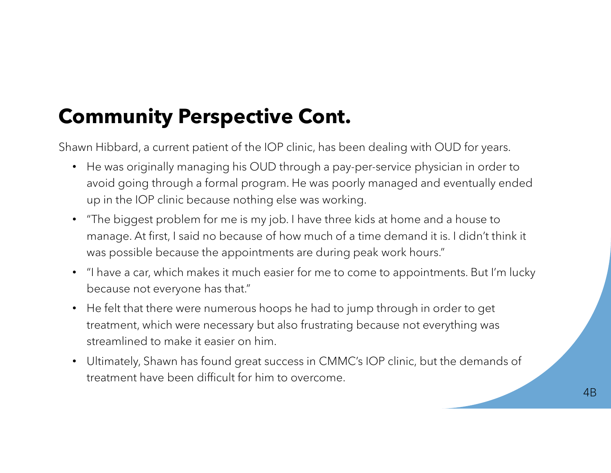# Community Perspective Cont.

Shawn Hibbard, a current patient of the IOP clinic, has been dealing with OUD for years.

- He was originally managing his OUD through a pay-per-service physician in order to avoid going through a formal program. He was poorly managed and eventually ended up in the IOP clinic because nothing else was working.
- "The biggest problem for me is my job. I have three kids at home and a house to manage. At first, I said no because of how much of a time demand it is. I didn't think it was possible because the appointments are during peak work hours."
- "I have a car, which makes it much easier for me to come to appointments. But I'm lucky because not everyone has that."
- He felt that there were numerous hoops he had to jump through in order to get treatment, which were necessary but also frustrating because not everything was streamlined to make it easier on him.
- Ultimately, Shawn has found great success in CMMC's IOP clinic, but the demands of treatment have been difficult for him to overcome.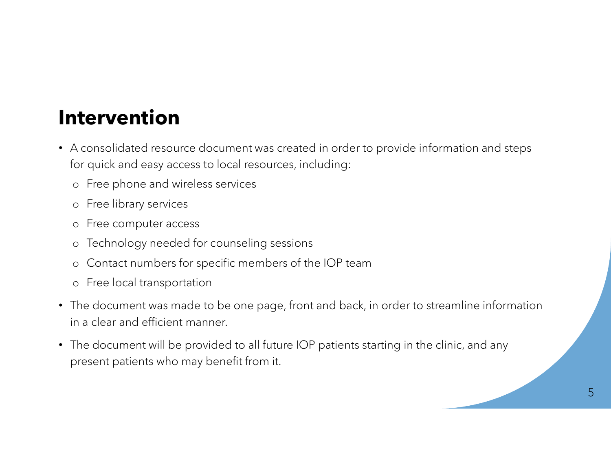### Intervention

- A consolidated resource document was created in order to provide information and steps for quick and easy access to local resources, including:
	- o Free phone and wireless services
	- o Free library services
	- o Free computer access
	- o Technology needed for counseling sessions
	- o Contact numbers for specific members of the IOP team
	- o Free local transportation
- The document was made to be one page, front and back, in order to streamline information in a clear and efficient manner.
- The document will be provided to all future IOP patients starting in the clinic, and any present patients who may benefit from it.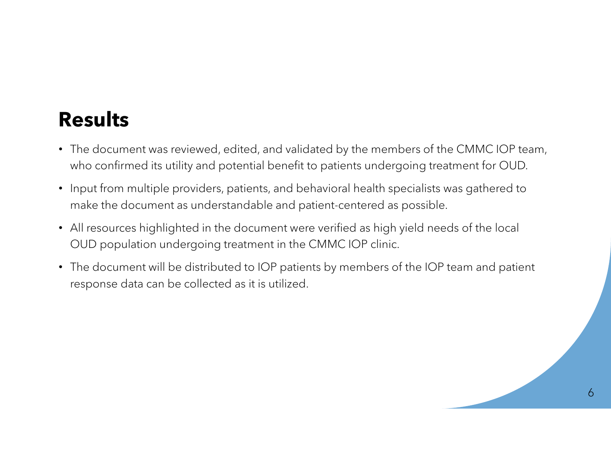### Results

- The document was reviewed, edited, and validated by the members of the CMMC IOP team, who confirmed its utility and potential benefit to patients undergoing treatment for OUD.
- Input from multiple providers, patients, and behavioral health specialists was gathered to make the document as understandable and patient-centered as possible.
- All resources highlighted in the document were verified as high yield needs of the local OUD population undergoing treatment in the CMMC IOP clinic.
- The document will be distributed to IOP patients by members of the IOP team and patient response data can be collected as it is utilized.

6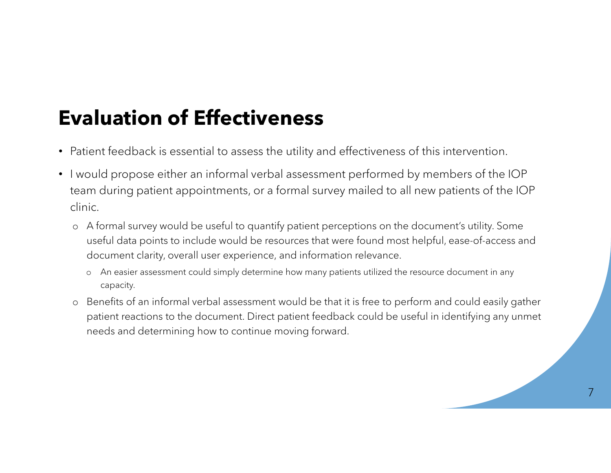# Evaluation of Effectiveness

- Patient feedback is essential to assess the utility and effectiveness of this intervention.
- I would propose either an informal verbal assessment performed by members of the IOP team during patient appointments, or a formal survey mailed to all new patients of the IOP clinic. **aluation of Effectiveness**<br>
ient feedback is essential to assess the utility and effectiveness of this intervention.<br>
bould propose either an informal verbal assessment performed by members of the IOP<br>
m during patient ap
	- o A formal survey would be useful to quantify patient perceptions on the document's utility. Some useful data points to include would be resources that were found most helpful, ease-of-access and document clarity, overall user experience, and information relevance.
		- capacity.
	- o Benefits of an informal verbal assessment would be that it is free to perform and could easily gather patient reactions to the document. Direct patient feedback could be useful in identifying any unmet needs and determining how to continue moving forward.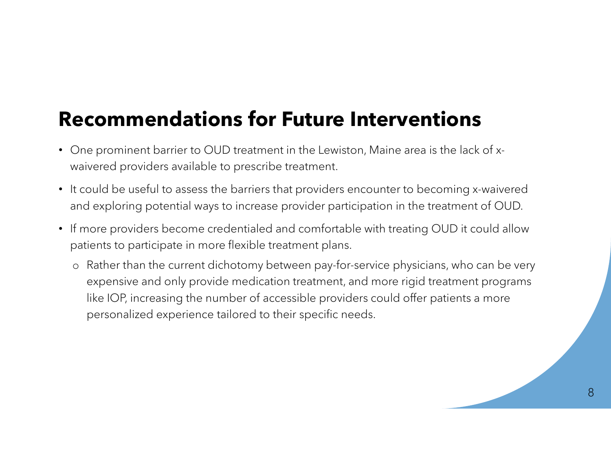### Recommendations for Future Interventions

- One prominent barrier to OUD treatment in the Lewiston, Maine area is the lack of xwaivered providers available to prescribe treatment.
- It could be useful to assess the barriers that providers encounter to becoming x-waivered and exploring potential ways to increase provider participation in the treatment of OUD.
- If more providers become credentialed and comfortable with treating OUD it could allow patients to participate in more flexible treatment plans.
	- o Rather than the current dichotomy between pay-for-service physicians, who can be very expensive and only provide medication treatment, and more rigid treatment programs like IOP, increasing the number of accessible providers could offer patients a more personalized experience tailored to their specific needs.